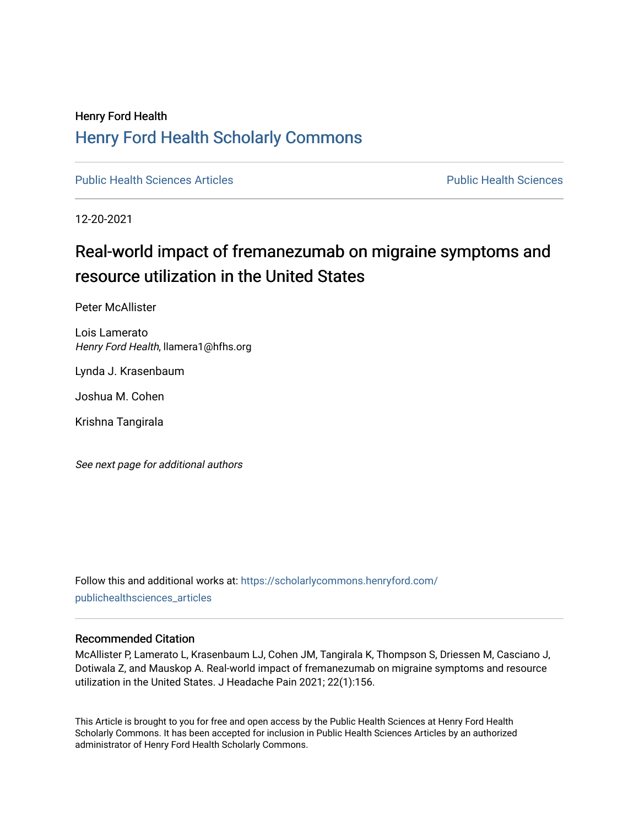## Henry Ford Health [Henry Ford Health Scholarly Commons](https://scholarlycommons.henryford.com/)

[Public Health Sciences Articles](https://scholarlycommons.henryford.com/publichealthsciences_articles) [Public Health Sciences](https://scholarlycommons.henryford.com/publichealthsciences) 

12-20-2021

## Real-world impact of fremanezumab on migraine symptoms and resource utilization in the United States

Peter McAllister

Lois Lamerato Henry Ford Health, llamera1@hfhs.org

Lynda J. Krasenbaum

Joshua M. Cohen

Krishna Tangirala

See next page for additional authors

Follow this and additional works at: [https://scholarlycommons.henryford.com/](https://scholarlycommons.henryford.com/publichealthsciences_articles?utm_source=scholarlycommons.henryford.com%2Fpublichealthsciences_articles%2F299&utm_medium=PDF&utm_campaign=PDFCoverPages) [publichealthsciences\\_articles](https://scholarlycommons.henryford.com/publichealthsciences_articles?utm_source=scholarlycommons.henryford.com%2Fpublichealthsciences_articles%2F299&utm_medium=PDF&utm_campaign=PDFCoverPages) 

## Recommended Citation

McAllister P, Lamerato L, Krasenbaum LJ, Cohen JM, Tangirala K, Thompson S, Driessen M, Casciano J, Dotiwala Z, and Mauskop A. Real-world impact of fremanezumab on migraine symptoms and resource utilization in the United States. J Headache Pain 2021; 22(1):156.

This Article is brought to you for free and open access by the Public Health Sciences at Henry Ford Health Scholarly Commons. It has been accepted for inclusion in Public Health Sciences Articles by an authorized administrator of Henry Ford Health Scholarly Commons.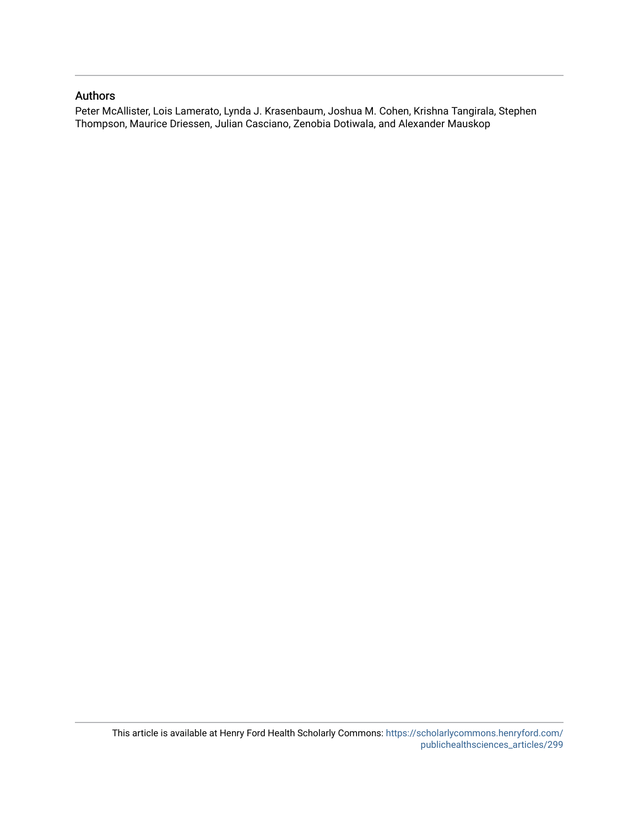## Authors

Peter McAllister, Lois Lamerato, Lynda J. Krasenbaum, Joshua M. Cohen, Krishna Tangirala, Stephen Thompson, Maurice Driessen, Julian Casciano, Zenobia Dotiwala, and Alexander Mauskop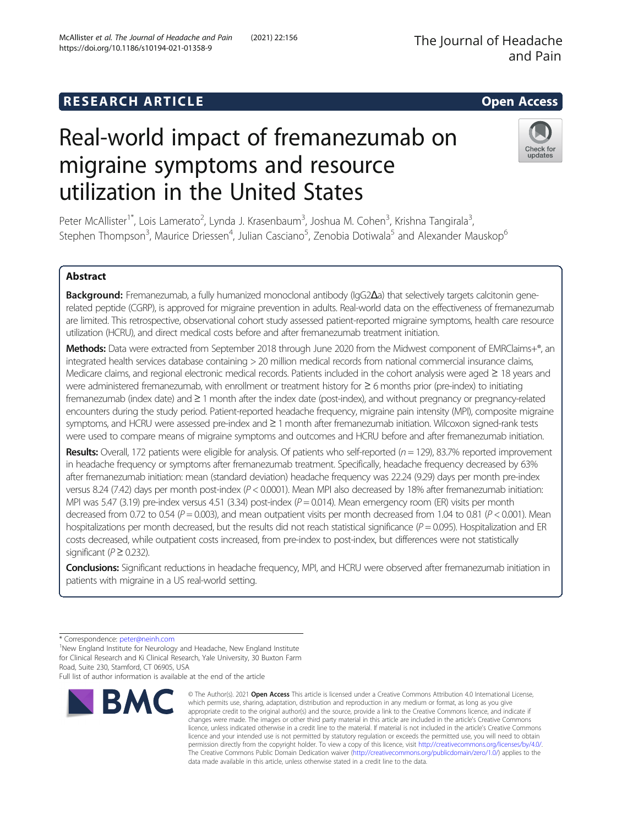## **RESEARCH ARTICLE Example 2014 12:30 The SEAR CH ACCESS**

# Real-world impact of fremanezumab on migraine symptoms and resource utilization in the United States

Peter McAllister<sup>1\*</sup>, Lois Lamerato<sup>2</sup>, Lynda J. Krasenbaum<sup>3</sup>, Joshua M. Cohen<sup>3</sup>, Krishna Tangirala<sup>3</sup> , Stephen Thompson<sup>3</sup>, Maurice Driessen<sup>4</sup>, Julian Casciano<sup>5</sup>, Zenobia Dotiwala<sup>5</sup> and Alexander Mauskop<sup>6</sup>

## Abstract

Background: Fremanezumab, a fully humanized monoclonal antibody (IgG2Δa) that selectively targets calcitonin generelated peptide (CGRP), is approved for migraine prevention in adults. Real-world data on the effectiveness of fremanezumab are limited. This retrospective, observational cohort study assessed patient-reported migraine symptoms, health care resource utilization (HCRU), and direct medical costs before and after fremanezumab treatment initiation.

Methods: Data were extracted from September 2018 through June 2020 from the Midwest component of EMRClaims+®, an integrated health services database containing > 20 million medical records from national commercial insurance claims, Medicare claims, and regional electronic medical records. Patients included in the cohort analysis were aged ≥ 18 years and were administered fremanezumab, with enrollment or treatment history for ≥ 6 months prior (pre-index) to initiating fremanezumab (index date) and ≥ 1 month after the index date (post-index), and without pregnancy or pregnancy-related encounters during the study period. Patient-reported headache frequency, migraine pain intensity (MPI), composite migraine symptoms, and HCRU were assessed pre-index and ≥ 1 month after fremanezumab initiation. Wilcoxon signed-rank tests were used to compare means of migraine symptoms and outcomes and HCRU before and after fremanezumab initiation.

Results: Overall, 172 patients were eligible for analysis. Of patients who self-reported  $(n = 129)$ , 83.7% reported improvement in headache frequency or symptoms after fremanezumab treatment. Specifically, headache frequency decreased by 63% after fremanezumab initiation: mean (standard deviation) headache frequency was 22.24 (9.29) days per month pre-index versus 8.24 (7.42) days per month post-index (P < 0.0001). Mean MPI also decreased by 18% after fremanezumab initiation: MPI was 5.47 (3.19) pre-index versus 4.51 (3.34) post-index ( $P = 0.014$ ). Mean emergency room (ER) visits per month decreased from 0.72 to 0.54 ( $P = 0.003$ ), and mean outpatient visits per month decreased from 1.04 to 0.81 ( $P < 0.001$ ). Mean hospitalizations per month decreased, but the results did not reach statistical significance  $(P = 0.095)$ . Hospitalization and ER costs decreased, while outpatient costs increased, from pre-index to post-index, but differences were not statistically significant ( $P \ge 0.232$ ).

Conclusions: Significant reductions in headache frequency, MPI, and HCRU were observed after fremanezumab initiation in patients with migraine in a US real-world setting.

Full list of author information is available at the end of the article

**BMC** 



© The Author(s), 2021 **Open Access** This article is licensed under a Creative Commons Attribution 4.0 International License, which permits use, sharing, adaptation, distribution and reproduction in any medium or format, as long as you give



<sup>\*</sup> Correspondence: [peter@neinh.com](mailto:peter@neinh.com) <sup>1</sup>

 $1$ New England Institute for Neurology and Headache, New England Institute for Clinical Research and Ki Clinical Research, Yale University, 30 Buxton Farm Road, Suite 230, Stamford, CT 06905, USA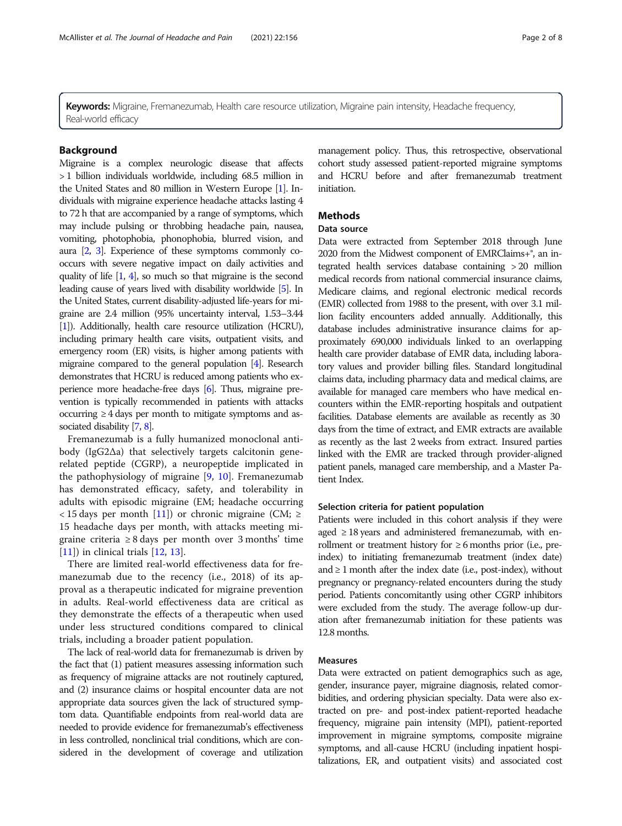Keywords: Migraine, Fremanezumab, Health care resource utilization, Migraine pain intensity, Headache frequency, Real-world efficacy

#### Background

Migraine is a complex neurologic disease that affects > 1 billion individuals worldwide, including 68.5 million in the United States and 80 million in Western Europe [\[1\]](#page-8-0). Individuals with migraine experience headache attacks lasting 4 to 72 h that are accompanied by a range of symptoms, which may include pulsing or throbbing headache pain, nausea, vomiting, photophobia, phonophobia, blurred vision, and aura [\[2](#page-8-0), [3](#page-8-0)]. Experience of these symptoms commonly cooccurs with severe negative impact on daily activities and quality of life [[1](#page-8-0), [4\]](#page-8-0), so much so that migraine is the second leading cause of years lived with disability worldwide [\[5\]](#page-8-0). In the United States, current disability-adjusted life-years for migraine are 2.4 million (95% uncertainty interval, 1.53–3.44 [[1](#page-8-0)]). Additionally, health care resource utilization (HCRU), including primary health care visits, outpatient visits, and emergency room (ER) visits, is higher among patients with migraine compared to the general population [\[4\]](#page-8-0). Research demonstrates that HCRU is reduced among patients who experience more headache-free days [\[6](#page-8-0)]. Thus, migraine prevention is typically recommended in patients with attacks occurring ≥ 4 days per month to mitigate symptoms and associated disability [\[7](#page-8-0), [8\]](#page-8-0).

Fremanezumab is a fully humanized monoclonal antibody (IgG2Δa) that selectively targets calcitonin generelated peptide (CGRP), a neuropeptide implicated in the pathophysiology of migraine [[9,](#page-8-0) [10\]](#page-8-0). Fremanezumab has demonstrated efficacy, safety, and tolerability in adults with episodic migraine (EM; headache occurring < 15 days per month [[11](#page-8-0)]) or chronic migraine (CM;  $\ge$ 15 headache days per month, with attacks meeting migraine criteria ≥ 8 days per month over 3 months' time [[11\]](#page-8-0)) in clinical trials [[12,](#page-8-0) [13\]](#page-8-0).

There are limited real-world effectiveness data for fremanezumab due to the recency (i.e., 2018) of its approval as a therapeutic indicated for migraine prevention in adults. Real-world effectiveness data are critical as they demonstrate the effects of a therapeutic when used under less structured conditions compared to clinical trials, including a broader patient population.

The lack of real-world data for fremanezumab is driven by the fact that (1) patient measures assessing information such as frequency of migraine attacks are not routinely captured, and (2) insurance claims or hospital encounter data are not appropriate data sources given the lack of structured symptom data. Quantifiable endpoints from real-world data are needed to provide evidence for fremanezumab's effectiveness in less controlled, nonclinical trial conditions, which are considered in the development of coverage and utilization management policy. Thus, this retrospective, observational cohort study assessed patient-reported migraine symptoms and HCRU before and after fremanezumab treatment initiation.

### **Methods**

#### Data source

Data were extracted from September 2018 through June 2020 from the Midwest component of EMRClaims+®, an integrated health services database containing > 20 million medical records from national commercial insurance claims, Medicare claims, and regional electronic medical records (EMR) collected from 1988 to the present, with over 3.1 million facility encounters added annually. Additionally, this database includes administrative insurance claims for approximately 690,000 individuals linked to an overlapping health care provider database of EMR data, including laboratory values and provider billing files. Standard longitudinal claims data, including pharmacy data and medical claims, are available for managed care members who have medical encounters within the EMR-reporting hospitals and outpatient facilities. Database elements are available as recently as 30 days from the time of extract, and EMR extracts are available as recently as the last 2 weeks from extract. Insured parties linked with the EMR are tracked through provider-aligned patient panels, managed care membership, and a Master Patient Index.

#### Selection criteria for patient population

Patients were included in this cohort analysis if they were aged  $\geq$  18 years and administered fremanezumab, with enrollment or treatment history for  $\geq 6$  months prior (i.e., preindex) to initiating fremanezumab treatment (index date) and  $\geq 1$  month after the index date (i.e., post-index), without pregnancy or pregnancy-related encounters during the study period. Patients concomitantly using other CGRP inhibitors were excluded from the study. The average follow-up duration after fremanezumab initiation for these patients was 12.8 months.

#### Measures

Data were extracted on patient demographics such as age, gender, insurance payer, migraine diagnosis, related comorbidities, and ordering physician specialty. Data were also extracted on pre- and post-index patient-reported headache frequency, migraine pain intensity (MPI), patient-reported improvement in migraine symptoms, composite migraine symptoms, and all-cause HCRU (including inpatient hospitalizations, ER, and outpatient visits) and associated cost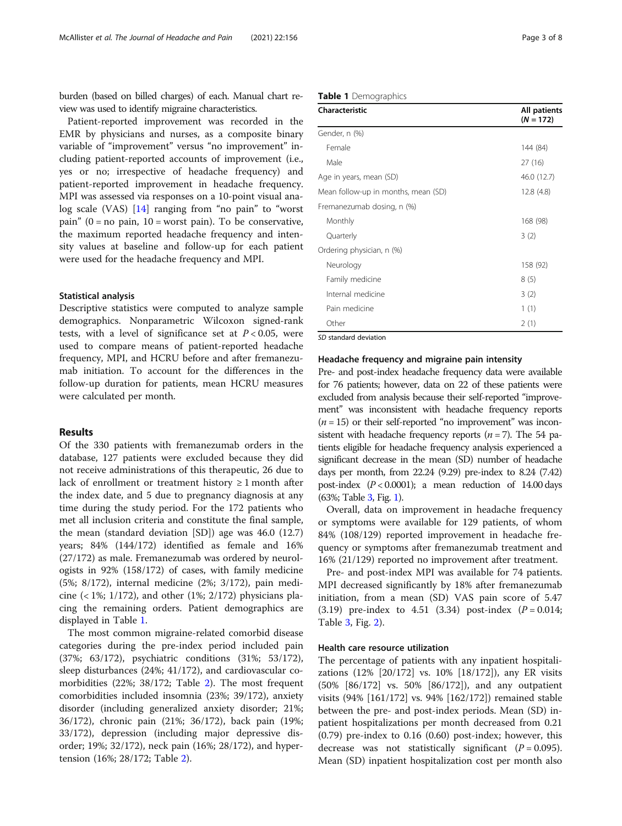burden (based on billed charges) of each. Manual chart review was used to identify migraine characteristics.

Patient-reported improvement was recorded in the EMR by physicians and nurses, as a composite binary variable of "improvement" versus "no improvement" including patient-reported accounts of improvement (i.e., yes or no; irrespective of headache frequency) and patient-reported improvement in headache frequency. MPI was assessed via responses on a 10-point visual analog scale (VAS) [\[14](#page-8-0)] ranging from "no pain" to "worst pain" ( $0 = no$  pain,  $10 = worst$  pain). To be conservative, the maximum reported headache frequency and intensity values at baseline and follow-up for each patient were used for the headache frequency and MPI.

#### Statistical analysis

Descriptive statistics were computed to analyze sample demographics. Nonparametric Wilcoxon signed-rank tests, with a level of significance set at  $P < 0.05$ , were used to compare means of patient-reported headache frequency, MPI, and HCRU before and after fremanezumab initiation. To account for the differences in the follow-up duration for patients, mean HCRU measures were calculated per month.

#### Results

Of the 330 patients with fremanezumab orders in the database, 127 patients were excluded because they did not receive administrations of this therapeutic, 26 due to lack of enrollment or treatment history  $\geq 1$  month after the index date, and 5 due to pregnancy diagnosis at any time during the study period. For the 172 patients who met all inclusion criteria and constitute the final sample, the mean (standard deviation [SD]) age was 46.0 (12.7) years; 84% (144/172) identified as female and 16% (27/172) as male. Fremanezumab was ordered by neurologists in 92% (158/172) of cases, with family medicine (5%; 8/172), internal medicine (2%; 3/172), pain medicine  $(1\%; 1/172)$ , and other  $(1\%; 2/172)$  physicians placing the remaining orders. Patient demographics are displayed in Table 1.

The most common migraine-related comorbid disease categories during the pre-index period included pain (37%; 63/172), psychiatric conditions (31%; 53/172), sleep disturbances (24%; 41/172), and cardiovascular comorbidities (22%; 38/172; Table [2\)](#page-5-0). The most frequent comorbidities included insomnia (23%; 39/172), anxiety disorder (including generalized anxiety disorder; 21%; 36/172), chronic pain (21%; 36/172), back pain (19%; 33/172), depression (including major depressive disorder; 19%; 32/172), neck pain (16%; 28/172), and hypertension (16%; 28/172; Table [2](#page-5-0)).

|  | Table 1 Demographics |  |
|--|----------------------|--|
|  |                      |  |

| <b>Characteristic</b>               | All patients<br>$(N = 172)$ |
|-------------------------------------|-----------------------------|
| Gender, n (%)                       |                             |
| Female                              | 144 (84)                    |
| Male                                | 27 (16)                     |
| Age in years, mean (SD)             | 46.0 (12.7)                 |
| Mean follow-up in months, mean (SD) | 12.8(4.8)                   |
| Fremanezumab dosing, n (%)          |                             |
| Monthly                             | 168 (98)                    |
| Quarterly                           | 3(2)                        |
| Ordering physician, n (%)           |                             |
| Neurology                           | 158 (92)                    |
| Family medicine                     | 8(5)                        |
| Internal medicine                   | 3(2)                        |
| Pain medicine                       | 1(1)                        |
| Other                               | 2(1)                        |

 $\overline{SD}$  standard deviation

#### Headache frequency and migraine pain intensity

Pre- and post-index headache frequency data were available for 76 patients; however, data on 22 of these patients were excluded from analysis because their self-reported "improvement" was inconsistent with headache frequency reports  $(n = 15)$  or their self-reported "no improvement" was inconsistent with headache frequency reports  $(n = 7)$ . The 54 patients eligible for headache frequency analysis experienced a significant decrease in the mean (SD) number of headache days per month, from 22.24 (9.29) pre-index to 8.24 (7.42) post-index  $(P < 0.0001)$ ; a mean reduction of 14.00 days (63%; Table [3,](#page-5-0) Fig. [1\)](#page-5-0).

Overall, data on improvement in headache frequency or symptoms were available for 129 patients, of whom 84% (108/129) reported improvement in headache frequency or symptoms after fremanezumab treatment and 16% (21/129) reported no improvement after treatment.

Pre- and post-index MPI was available for 74 patients. MPI decreased significantly by 18% after fremanezumab initiation, from a mean (SD) VAS pain score of 5.47 (3.19) pre-index to 4.51 (3.34) post-index  $(P = 0.014;$ Table [3,](#page-5-0) Fig. [2](#page-6-0)).

#### Health care resource utilization

The percentage of patients with any inpatient hospitalizations (12% [20/172] vs. 10% [18/172]), any ER visits (50% [86/172] vs. 50% [86/172]), and any outpatient visits (94% [161/172] vs. 94% [162/172]) remained stable between the pre- and post-index periods. Mean (SD) inpatient hospitalizations per month decreased from 0.21 (0.79) pre-index to 0.16 (0.60) post-index; however, this decrease was not statistically significant  $(P = 0.095)$ . Mean (SD) inpatient hospitalization cost per month also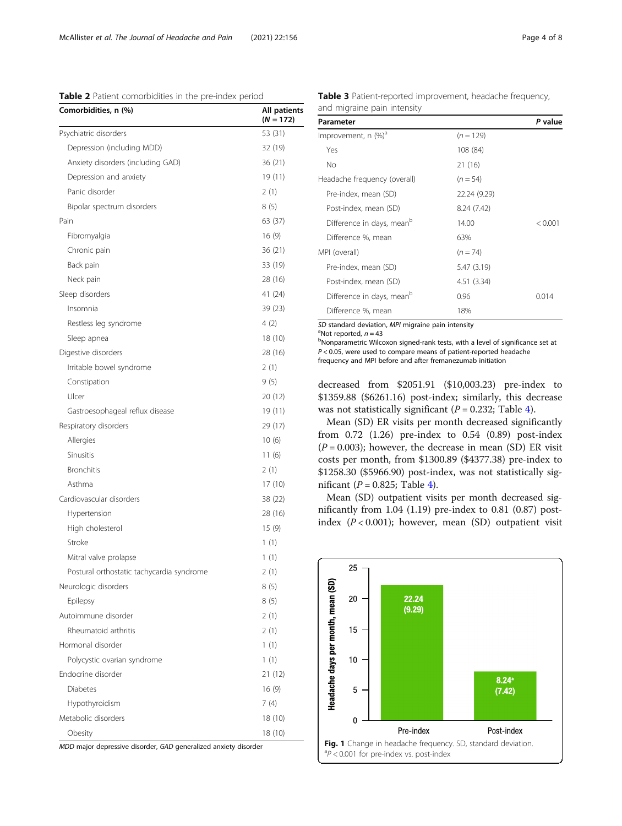<span id="page-5-0"></span>Table 2 Patient comorbidities in the pre-index period

| Comorbidities, n (%)                      | All patients<br>$(N = 172)$ |
|-------------------------------------------|-----------------------------|
| Psychiatric disorders                     | 53 (31)                     |
| Depression (including MDD)                | 32 (19)                     |
| Anxiety disorders (including GAD)         | 36 (21)                     |
| Depression and anxiety                    | 19 (11)                     |
| Panic disorder                            | 2(1)                        |
| Bipolar spectrum disorders                | 8(5)                        |
| Pain                                      | 63 (37)                     |
| Fibromyalgia                              | 16(9)                       |
| Chronic pain                              | 36 (21)                     |
| Back pain                                 | 33 (19)                     |
| Neck pain                                 | 28 (16)                     |
| Sleep disorders                           | 41 (24)                     |
| Insomnia                                  | 39(23)                      |
| Restless leg syndrome                     | 4(2)                        |
| Sleep apnea                               | 18 (10)                     |
| Digestive disorders                       | 28 (16)                     |
| Irritable bowel syndrome                  | 2(1)                        |
| Constipation                              | 9(5)                        |
| Ulcer                                     | 20 (12)                     |
| Gastroesophageal reflux disease           | 19 (11)                     |
| Respiratory disorders                     | 29 (17)                     |
| Allergies                                 | 10(6)                       |
| Sinusitis                                 | 11(6)                       |
| <b>Bronchitis</b>                         | 2(1)                        |
| Asthma                                    | 17 (10)                     |
| Cardiovascular disorders                  | 38 (22)                     |
| Hypertension                              | 28 (16)                     |
| High cholesterol                          | 15(9)                       |
| Stroke                                    | 1(1)                        |
| Mitral valve prolapse                     | 1(1)                        |
| Postural orthostatic tachycardia syndrome | 2(1)                        |
| Neurologic disorders                      | 8 (5)                       |
| Epilepsy                                  | 8(5)                        |
| Autoimmune disorder                       | 2(1)                        |
| Rheumatoid arthritis                      | 2(1)                        |
| Hormonal disorder                         | 1(1)                        |
| Polycystic ovarian syndrome               | 1(1)                        |
| Endocrine disorder                        | 21 (12)                     |
| Diabetes                                  | 16(9)                       |
| Hypothyroidism                            | 7(4)                        |
| Metabolic disorders                       | 18 (10)                     |
| Obesity                                   | 18 (10)                     |

MDD major depressive disorder, GAD generalized anxiety disorder

Table 3 Patient-reported improvement, headache frequency,

| Parameter                             |              | P value |
|---------------------------------------|--------------|---------|
| Improvement, n (%) <sup>a</sup>       | $(n = 129)$  |         |
| Yes                                   | 108 (84)     |         |
| Νo                                    | 21 (16)      |         |
| Headache frequency (overall)          | $(n = 54)$   |         |
| Pre-index, mean (SD)                  | 22.24 (9.29) |         |
| Post-index, mean (SD)                 | 8.24(7.42)   |         |
| Difference in days, mean <sup>b</sup> | 14.00        | < 0.001 |
| Difference %, mean                    | 63%          |         |
| MPI (overall)                         | $(n = 74)$   |         |
| Pre-index, mean (SD)                  | 5.47 (3.19)  |         |
| Post-index, mean (SD)                 | 4.51 (3.34)  |         |
| Difference in days, mean <sup>b</sup> | 0.96         | 0.014   |
| Difference %, mean                    | 18%          |         |

SD standard deviation, MPI migraine pain intensity

<sup>a</sup>Not reported,  $n = 43$ 

Nonparametric Wilcoxon signed-rank tests, with a level of significance set at  $P < 0.05$ , were used to compare means of patient-reported headache frequency and MPI before and after fremanezumab initiation

decreased from \$2051.91 (\$10,003.23) pre-index to \$1359.88 (\$6261.16) post-index; similarly, this decrease was not statistically significant ( $P = 0.232$ ; Table [4\)](#page-6-0).

Mean (SD) ER visits per month decreased significantly from 0.72 (1.26) pre-index to 0.54 (0.89) post-index  $(P = 0.003)$ ; however, the decrease in mean (SD) ER visit costs per month, from \$1300.89 (\$4377.38) pre-index to \$1258.30 (\$5966.90) post-index, was not statistically significant ( $P = 0.825$ ; Table [4](#page-6-0)).

Mean (SD) outpatient visits per month decreased significantly from 1.04 (1.19) pre-index to 0.81 (0.87) postindex  $(P < 0.001)$ ; however, mean (SD) outpatient visit

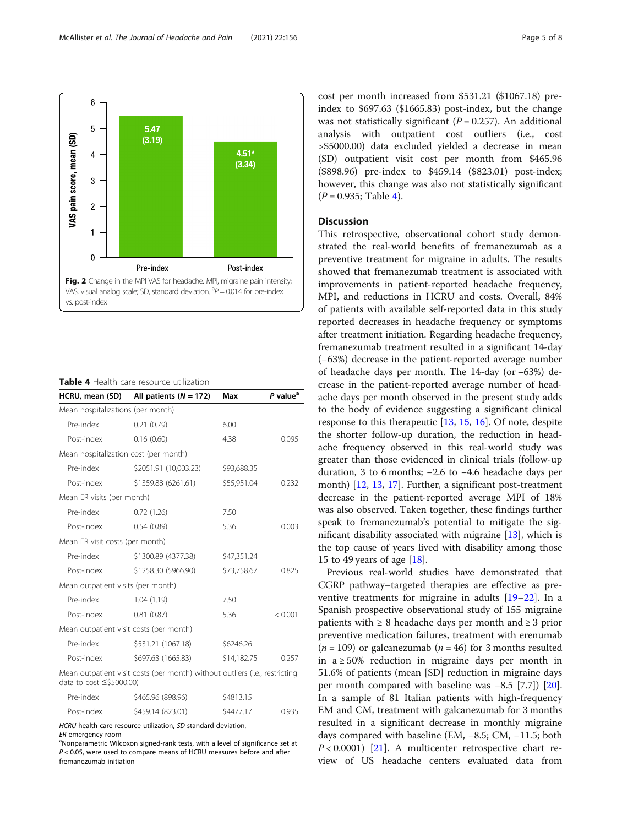<span id="page-6-0"></span>

Table 4 Health care resource utilization

| HCRU, mean (SD)                                                                                         | All patients ( $N = 172$ ) | Max         | P value <sup>a</sup> |  |  |
|---------------------------------------------------------------------------------------------------------|----------------------------|-------------|----------------------|--|--|
| Mean hospitalizations (per month)                                                                       |                            |             |                      |  |  |
| Pre-index                                                                                               | 0.21(0.79)                 | 6.00        |                      |  |  |
| Post-index                                                                                              | 0.16(0.60)                 | 4.38        | 0.095                |  |  |
| Mean hospitalization cost (per month)                                                                   |                            |             |                      |  |  |
| Pre-index                                                                                               | \$2051.91 (10,003.23)      | \$93,688.35 |                      |  |  |
| Post-index                                                                                              | \$1359.88 (6261.61)        | \$55,951.04 | 0.232                |  |  |
| Mean ER visits (per month)                                                                              |                            |             |                      |  |  |
| Pre-index                                                                                               | 0.72(1.26)                 | 7.50        |                      |  |  |
| Post-index                                                                                              | 0.54(0.89)                 | 5.36        | 0.003                |  |  |
| Mean ER visit costs (per month)                                                                         |                            |             |                      |  |  |
| Pre-index                                                                                               | \$1300.89 (4377.38)        | \$47,351.24 |                      |  |  |
| Post-index                                                                                              | \$1258.30 (5966.90)        | \$73,758.67 | 0.825                |  |  |
| Mean outpatient visits (per month)                                                                      |                            |             |                      |  |  |
| Pre-index                                                                                               | 1.04(1.19)                 | 7.50        |                      |  |  |
| Post-index                                                                                              | 0.81(0.87)                 | 5.36        | < 0.001              |  |  |
| Mean outpatient visit costs (per month)                                                                 |                            |             |                      |  |  |
| Pre-index                                                                                               | \$531.21 (1067.18)         | \$6246.26   |                      |  |  |
| Post-index                                                                                              | \$697.63 (1665.83)         | \$14,182.75 | 0.257                |  |  |
| Mean outpatient visit costs (per month) without outliers (i.e., restricting<br>data to cost ≤\$5000.00) |                            |             |                      |  |  |
| Pre-index                                                                                               | \$465.96 (898.96)          | \$4813.15   |                      |  |  |
| Post-index                                                                                              | \$459.14 (823.01)          | \$4477.17   | 0.935                |  |  |

HCRU health care resource utilization, SD standard deviation,

ER emergency room

<sup>a</sup>Nonparametric Wilcoxon signed-rank tests, with a level of significance set at P < 0.05, were used to compare means of HCRU measures before and after fremanezumab initiation

cost per month increased from \$531.21 (\$1067.18) preindex to \$697.63 (\$1665.83) post-index, but the change was not statistically significant  $(P = 0.257)$ . An additional analysis with outpatient cost outliers (i.e., cost >\$5000.00) data excluded yielded a decrease in mean (SD) outpatient visit cost per month from \$465.96 (\$898.96) pre-index to \$459.14 (\$823.01) post-index; however, this change was also not statistically significant  $(P = 0.935;$  Table 4).

### Discussion

This retrospective, observational cohort study demonstrated the real-world benefits of fremanezumab as a preventive treatment for migraine in adults. The results showed that fremanezumab treatment is associated with improvements in patient-reported headache frequency, MPI, and reductions in HCRU and costs. Overall, 84% of patients with available self-reported data in this study reported decreases in headache frequency or symptoms after treatment initiation. Regarding headache frequency, fremanezumab treatment resulted in a significant 14-day (−63%) decrease in the patient-reported average number of headache days per month. The 14-day (or −63%) decrease in the patient-reported average number of headache days per month observed in the present study adds to the body of evidence suggesting a significant clinical response to this therapeutic [[13,](#page-8-0) [15,](#page-8-0) [16\]](#page-8-0). Of note, despite the shorter follow-up duration, the reduction in headache frequency observed in this real-world study was greater than those evidenced in clinical trials (follow-up duration, 3 to 6 months; −2.6 to −4.6 headache days per month) [\[12](#page-8-0), [13](#page-8-0), [17](#page-8-0)]. Further, a significant post-treatment decrease in the patient-reported average MPI of 18% was also observed. Taken together, these findings further speak to fremanezumab's potential to mitigate the significant disability associated with migraine [\[13](#page-8-0)], which is the top cause of years lived with disability among those 15 to 49 years of age [[18](#page-8-0)].

Previous real-world studies have demonstrated that CGRP pathway–targeted therapies are effective as preventive treatments for migraine in adults [\[19](#page-8-0)–[22\]](#page-9-0). In a Spanish prospective observational study of 155 migraine patients with ≥ 8 headache days per month and ≥ 3 prior preventive medication failures, treatment with erenumab ( $n = 109$ ) or galcanezumab ( $n = 46$ ) for 3 months resulted in  $a ≥ 50%$  reduction in migraine days per month in 51.6% of patients (mean [SD] reduction in migraine days per month compared with baseline was −8.5 [7.7]) [\[20](#page-8-0)]. In a sample of 81 Italian patients with high-frequency EM and CM, treatment with galcanezumab for 3 months resulted in a significant decrease in monthly migraine days compared with baseline (EM, −8.5; CM, −11.5; both  $P < 0.0001$  [[21\]](#page-9-0). A multicenter retrospective chart review of US headache centers evaluated data from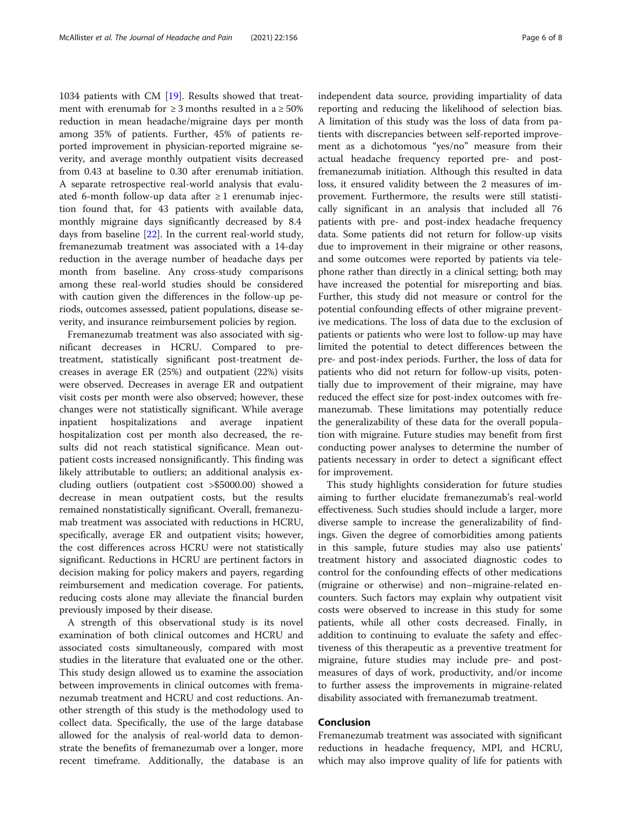1034 patients with CM [\[19](#page-8-0)]. Results showed that treatment with erenumab for  $\geq$  3 months resulted in a  $\geq$  50% reduction in mean headache/migraine days per month among 35% of patients. Further, 45% of patients reported improvement in physician-reported migraine severity, and average monthly outpatient visits decreased from 0.43 at baseline to 0.30 after erenumab initiation. A separate retrospective real-world analysis that evaluated 6-month follow-up data after  $\geq 1$  erenumab injection found that, for 43 patients with available data, monthly migraine days significantly decreased by 8.4 days from baseline [\[22](#page-9-0)]. In the current real-world study, fremanezumab treatment was associated with a 14-day reduction in the average number of headache days per month from baseline. Any cross-study comparisons among these real-world studies should be considered with caution given the differences in the follow-up periods, outcomes assessed, patient populations, disease severity, and insurance reimbursement policies by region.

Fremanezumab treatment was also associated with significant decreases in HCRU. Compared to pretreatment, statistically significant post-treatment decreases in average ER (25%) and outpatient (22%) visits were observed. Decreases in average ER and outpatient visit costs per month were also observed; however, these changes were not statistically significant. While average inpatient hospitalizations and average inpatient hospitalization cost per month also decreased, the results did not reach statistical significance. Mean outpatient costs increased nonsignificantly. This finding was likely attributable to outliers; an additional analysis excluding outliers (outpatient cost >\$5000.00) showed a decrease in mean outpatient costs, but the results remained nonstatistically significant. Overall, fremanezumab treatment was associated with reductions in HCRU, specifically, average ER and outpatient visits; however, the cost differences across HCRU were not statistically significant. Reductions in HCRU are pertinent factors in decision making for policy makers and payers, regarding reimbursement and medication coverage. For patients, reducing costs alone may alleviate the financial burden previously imposed by their disease.

A strength of this observational study is its novel examination of both clinical outcomes and HCRU and associated costs simultaneously, compared with most studies in the literature that evaluated one or the other. This study design allowed us to examine the association between improvements in clinical outcomes with fremanezumab treatment and HCRU and cost reductions. Another strength of this study is the methodology used to collect data. Specifically, the use of the large database allowed for the analysis of real-world data to demonstrate the benefits of fremanezumab over a longer, more recent timeframe. Additionally, the database is an independent data source, providing impartiality of data reporting and reducing the likelihood of selection bias. A limitation of this study was the loss of data from patients with discrepancies between self-reported improvement as a dichotomous "yes/no" measure from their actual headache frequency reported pre- and postfremanezumab initiation. Although this resulted in data loss, it ensured validity between the 2 measures of improvement. Furthermore, the results were still statistically significant in an analysis that included all 76 patients with pre- and post-index headache frequency data. Some patients did not return for follow-up visits due to improvement in their migraine or other reasons, and some outcomes were reported by patients via telephone rather than directly in a clinical setting; both may have increased the potential for misreporting and bias. Further, this study did not measure or control for the potential confounding effects of other migraine preventive medications. The loss of data due to the exclusion of patients or patients who were lost to follow-up may have limited the potential to detect differences between the pre- and post-index periods. Further, the loss of data for patients who did not return for follow-up visits, potentially due to improvement of their migraine, may have reduced the effect size for post-index outcomes with fremanezumab. These limitations may potentially reduce the generalizability of these data for the overall population with migraine. Future studies may benefit from first conducting power analyses to determine the number of patients necessary in order to detect a significant effect for improvement.

This study highlights consideration for future studies aiming to further elucidate fremanezumab's real-world effectiveness. Such studies should include a larger, more diverse sample to increase the generalizability of findings. Given the degree of comorbidities among patients in this sample, future studies may also use patients' treatment history and associated diagnostic codes to control for the confounding effects of other medications (migraine or otherwise) and non–migraine-related encounters. Such factors may explain why outpatient visit costs were observed to increase in this study for some patients, while all other costs decreased. Finally, in addition to continuing to evaluate the safety and effectiveness of this therapeutic as a preventive treatment for migraine, future studies may include pre- and postmeasures of days of work, productivity, and/or income to further assess the improvements in migraine-related disability associated with fremanezumab treatment.

#### Conclusion

Fremanezumab treatment was associated with significant reductions in headache frequency, MPI, and HCRU, which may also improve quality of life for patients with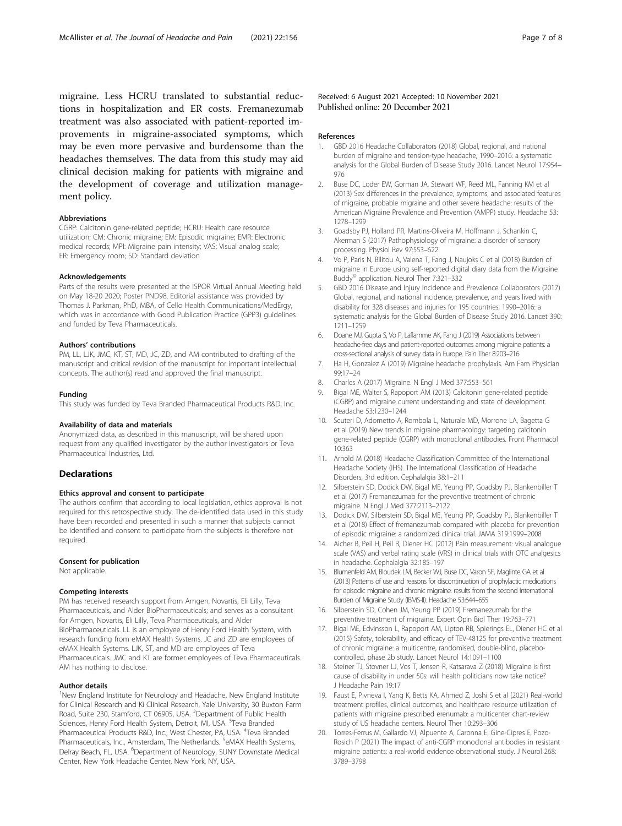<span id="page-8-0"></span>migraine. Less HCRU translated to substantial reductions in hospitalization and ER costs. Fremanezumab treatment was also associated with patient-reported improvements in migraine-associated symptoms, which may be even more pervasive and burdensome than the headaches themselves. The data from this study may aid clinical decision making for patients with migraine and the development of coverage and utilization management policy.

#### Abbreviations

CGRP: Calcitonin gene-related peptide; HCRU: Health care resource utilization; CM: Chronic migraine; EM: Episodic migraine; EMR: Electronic medical records; MPI: Migraine pain intensity; VAS: Visual analog scale; ER: Emergency room; SD: Standard deviation

#### Acknowledgements

Parts of the results were presented at the ISPOR Virtual Annual Meeting held on May 18-20 2020; Poster PND98. Editorial assistance was provided by Thomas J. Parkman, PhD, MBA, of Cello Health Communications/MedErgy, which was in accordance with Good Publication Practice (GPP3) guidelines and funded by Teva Pharmaceuticals.

#### Authors' contributions

PM, LL, LJK, JMC, KT, ST, MD, JC, ZD, and AM contributed to drafting of the manuscript and critical revision of the manuscript for important intellectual concepts. The author(s) read and approved the final manuscript.

#### Funding

This study was funded by Teva Branded Pharmaceutical Products R&D, Inc.

#### Availability of data and materials

Anonymized data, as described in this manuscript, will be shared upon request from any qualified investigator by the author investigators or Teva Pharmaceutical Industries, Ltd.

#### Declarations

#### Ethics approval and consent to participate

The authors confirm that according to local legislation, ethics approval is not required for this retrospective study. The de-identified data used in this study have been recorded and presented in such a manner that subjects cannot be identified and consent to participate from the subjects is therefore not required.

#### Consent for publication

Not applicable.

#### Competing interests

PM has received research support from Amgen, Novartis, Eli Lilly, Teva Pharmaceuticals, and Alder BioPharmaceuticals; and serves as a consultant for Amgen, Novartis, Eli Lilly, Teva Pharmaceuticals, and Alder BioPharmaceuticals. LL is an employee of Henry Ford Health System, with research funding from eMAX Health Systems. JC and ZD are employees of eMAX Health Systems. LJK, ST, and MD are employees of Teva Pharmaceuticals. JMC and KT are former employees of Teva Pharmaceuticals. AM has nothing to disclose.

#### Author details

<sup>1</sup>New England Institute for Neurology and Headache, New England Institute for Clinical Research and Ki Clinical Research, Yale University, 30 Buxton Farm Road, Suite 230, Stamford, CT 06905, USA. <sup>2</sup>Department of Public Health Sciences, Henry Ford Health System, Detroit, MI, USA. <sup>3</sup>Teva Branded Pharmaceutical Products R&D, Inc., West Chester, PA, USA. <sup>4</sup>Teva Branded Pharmaceuticals, Inc., Amsterdam, The Netherlands. <sup>5</sup>eMAX Health Systems, Delray Beach, FL, USA. <sup>6</sup>Department of Neurology, SUNY Downstate Medical Center, New York Headache Center, New York, NY, USA.

#### Received: 6 August 2021 Accepted: 10 November 2021 Published online: 20 December 2021

#### References

- 1. GBD 2016 Headache Collaborators (2018) Global, regional, and national burden of migraine and tension-type headache, 1990–2016: a systematic analysis for the Global Burden of Disease Study 2016. Lancet Neurol 17:954– 976
- 2. Buse DC, Loder EW, Gorman JA, Stewart WF, Reed ML, Fanning KM et al (2013) Sex differences in the prevalence, symptoms, and associated features of migraine, probable migraine and other severe headache: results of the American Migraine Prevalence and Prevention (AMPP) study. Headache 53: 1278–1299
- 3. Goadsby PJ, Holland PR, Martins-Oliveira M, Hoffmann J, Schankin C, Akerman S (2017) Pathophysiology of migraine: a disorder of sensory processing. Physiol Rev 97:553–622
- 4. Vo P, Paris N, Bilitou A, Valena T, Fang J, Naujoks C et al (2018) Burden of migraine in Europe using self-reported digital diary data from the Migraine Buddy© application. Neurol Ther 7:321–332
- 5. GBD 2016 Disease and Injury Incidence and Prevalence Collaborators (2017) Global, regional, and national incidence, prevalence, and years lived with disability for 328 diseases and injuries for 195 countries, 1990–2016: a systematic analysis for the Global Burden of Disease Study 2016. Lancet 390: 1211–1259
- Doane MJ, Gupta S, Vo P, Laflamme AK, Fang J (2019) Associations between headache-free days and patient-reported outcomes among migraine patients: a cross-sectional analysis of survey data in Europe. Pain Ther 8:203–216
- 7. Ha H, Gonzalez A (2019) Migraine headache prophylaxis. Am Fam Physician 99:17–24
- 8. Charles A (2017) Migraine. N Engl J Med 377:553–561
- 9. Bigal ME, Walter S, Rapoport AM (2013) Calcitonin gene-related peptide (CGRP) and migraine current understanding and state of development. Headache 53:1230–1244
- 10. Scuteri D, Adornetto A, Rombola L, Naturale MD, Morrone LA, Bagetta G et al (2019) New trends in migraine pharmacology: targeting calcitonin gene-related peptide (CGRP) with monoclonal antibodies. Front Pharmacol 10:363
- 11. Arnold M (2018) Headache Classification Committee of the International Headache Society (IHS). The International Classification of Headache Disorders, 3rd edition. Cephalalgia 38:1–211
- 12. Silberstein SD, Dodick DW, Bigal ME, Yeung PP, Goadsby PJ, Blankenbiller T et al (2017) Fremanezumab for the preventive treatment of chronic migraine. N Engl J Med 377:2113–2122
- 13. Dodick DW, Silberstein SD, Bigal ME, Yeung PP, Goadsby PJ, Blankenbiller T et al (2018) Effect of fremanezumab compared with placebo for prevention of episodic migraine: a randomized clinical trial. JAMA 319:1999–2008
- 14. Aicher B, Peil H, Peil B, Diener HC (2012) Pain measurement: visual analogue scale (VAS) and verbal rating scale (VRS) in clinical trials with OTC analgesics in headache. Cephalalgia 32:185–197
- 15. Blumenfeld AM, Bloudek LM, Becker WJ, Buse DC, Varon SF, Maglinte GA et al (2013) Patterns of use and reasons for discontinuation of prophylactic medications for episodic migraine and chronic migraine: results from the second International Burden of Migraine Study (IBMS-II). Headache 53:644–655
- 16. Silberstein SD, Cohen JM, Yeung PP (2019) Fremanezumab for the preventive treatment of migraine. Expert Opin Biol Ther 19:763–771
- 17. Bigal ME, Edvinsson L, Rapoport AM, Lipton RB, Spierings EL, Diener HC et al (2015) Safety, tolerability, and efficacy of TEV-48125 for preventive treatment of chronic migraine: a multicentre, randomised, double-blind, placebocontrolled, phase 2b study. Lancet Neurol 14:1091–1100
- 18. Steiner TJ, Stovner LJ, Vos T, Jensen R, Katsarava Z (2018) Migraine is first cause of disability in under 50s: will health politicians now take notice? J Headache Pain 19:17
- 19. Faust E, Pivneva I, Yang K, Betts KA, Ahmed Z, Joshi S et al (2021) Real-world treatment profiles, clinical outcomes, and healthcare resource utilization of patients with migraine prescribed erenumab: a multicenter chart-review study of US headache centers. Neurol Ther 10:293–306
- 20. Torres-Ferrus M, Gallardo VJ, Alpuente A, Caronna E, Gine-Cipres E, Pozo-Rosich P (2021) The impact of anti-CGRP monoclonal antibodies in resistant migraine patients: a real-world evidence observational study. J Neurol 268: 3789–3798